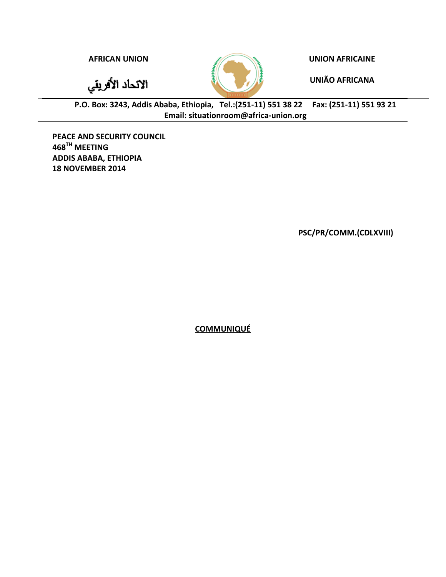الاتحاد الأفريقي



**AFRICAN UNION UNION AFRICAINE**

**UNIÃO AFRICANA**

**P.O. Box: 3243, Addis Ababa, Ethiopia, Tel.:(251-11) 551 38 22 Fax: (251-11) 551 93 21 Email: situationroom@africa-union.org**

**PEACE AND SECURITY COUNCIL 468 TH MEETING ADDIS ABABA, ETHIOPIA 18 NOVEMBER 2014**

**PSC/PR/COMM.(CDLXVIII)** 

**COMMUNIQUÉ**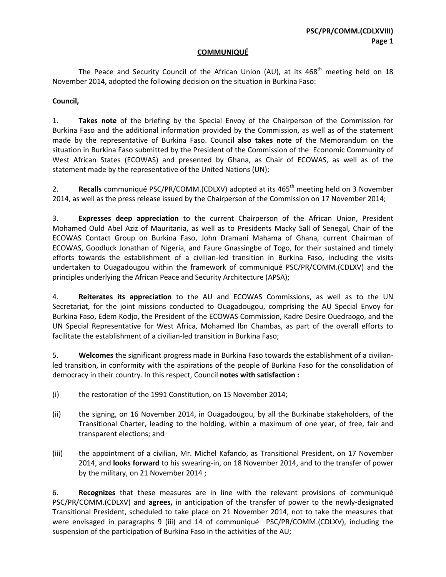## **COMMUNIQUÉ**

The Peace and Security Council of the African Union (AU), at its 468<sup>th</sup> meeting held on 18 November 2014, adopted the following decision on the situation in Burkina Faso:

## **Council,**

1. **Takes note** of the briefing by the Special Envoy of the Chairperson of the Commission for Burkina Faso and the additional information provided by the Commission, as well as of the statement made by the representative of Burkina Faso. Council **also takes note** of the Memorandum on the situation in Burkina Faso submitted by the President of the Commission of the Economic Community of West African States (ECOWAS) and presented by Ghana, as Chair of ECOWAS, as well as of the statement made by the representative of the United Nations (UN);

2. **Recalls** communiqué PSC/PR/COMM.(CDLXV) adopted at its 465<sup>th</sup> meeting held on 3 November 2014, as well as the press release issued by the Chairperson of the Commission on 17 November 2014;

3. **Expresses deep appreciation** to the current Chairperson of the African Union, President Mohamed Ould Abel Aziz of Mauritania, as well as to Presidents Macky Sall of Senegal, Chair of the ECOWAS Contact Group on Burkina Faso, John Dramani Mahama of Ghana, current Chairman of ECOWAS, Goodluck Jonathan of Nigeria, and Faure Gnassingbe of Togo, for their sustained and timely efforts towards the establishment of a civilian-led transition in Burkina Faso, including the visits undertaken to Ouagadougou within the framework of communiqué PSC/PR/COMM.(CDLXV) and the principles underlying the African Peace and Security Architecture (APSA);

4. **Reiterates its appreciation** to the AU and ECOWAS Commissions, as well as to the UN Secretariat, for the joint missions conducted to Ouagadougou, comprising the AU Special Envoy for Burkina Faso, Edem Kodjo, the President of the ECOWAS Commission, Kadre Desire Ouedraogo, and the UN Special Representative for West Africa, Mohamed Ibn Chambas, as part of the overall efforts to facilitate the establishment of a civilian-led transition in Burkina Faso;

5. **Welcomes** the significant progress made in Burkina Faso towards the establishment of a civilianled transition, in conformity with the aspirations of the people of Burkina Faso for the consolidation of democracy in their country. In this respect, Council **notes with satisfaction :**

- (i) the restoration of the 1991 Constitution, on 15 November 2014;
- (ii) the signing, on 16 November 2014, in Ouagadougou, by all the Burkinabe stakeholders, of the Transitional Charter, leading to the holding, within a maximum of one year, of free, fair and transparent elections; and
- (iii) the appointment of a civilian, Mr. Michel Kafando, as Transitional President, on 17 November 2014, and **looks forward** to his swearing-in, on 18 November 2014, and to the transfer of power by the military, on 21 November 2014 ;

6. **Recognizes** that these measures are in line with the relevant provisions of communiqué PSC/PR/COMM.(CDLXV) and **agrees,** in anticipation of the transfer of power to the newly-designated Transitional President, scheduled to take place on 21 November 2014, not to take the measures that were envisaged in paragraphs 9 (iii) and 14 of communiqué PSC/PR/COMM.(CDLXV), including the suspension of the participation of Burkina Faso in the activities of the AU;